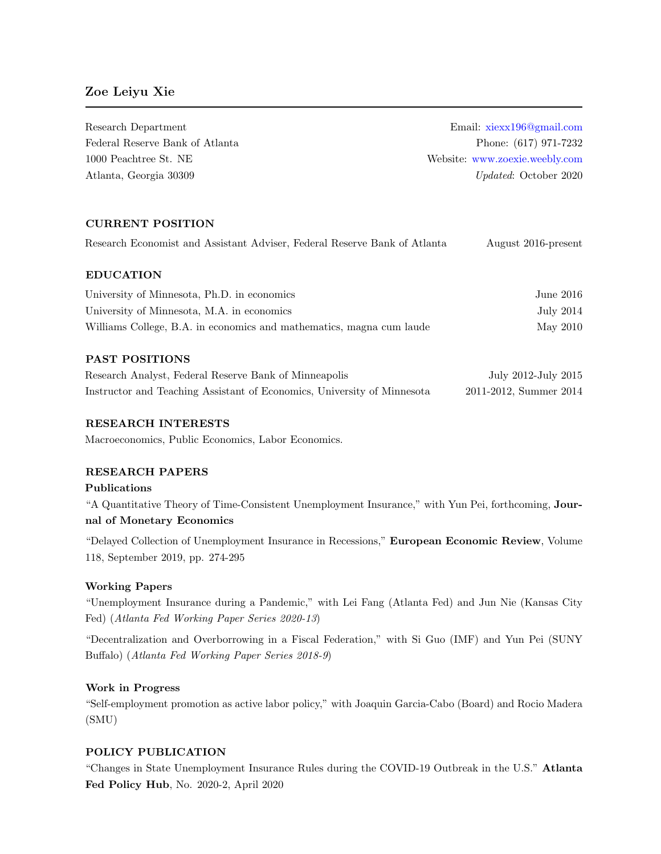# Zoe Leiyu Xie

Research Department Email: [xiexx196@gmail.com](mailto:xiexx196@gmail.com) Federal Reserve Bank of Atlanta Phone: (617) 971-7232 1000 Peachtree St. NE Website: <www.zoexie.weebly.com> Atlanta, Georgia 30309 Updated: October 2020

# CURRENT POSITION

| Research Economist and Assistant Adviser, Federal Reserve Bank of Atlanta |  |  |  |  | August 2016-present |
|---------------------------------------------------------------------------|--|--|--|--|---------------------|
|                                                                           |  |  |  |  |                     |

## EDUCATION

| University of Minnesota, Ph.D. in economics                          | June 2016 |
|----------------------------------------------------------------------|-----------|
| University of Minnesota, M.A. in economics                           | July 2014 |
| Williams College, B.A. in economics and mathematics, magna cum laude | May 2010  |

## PAST POSITIONS

| Research Analyst, Federal Reserve Bank of Minneapolis                   | July 2012-July 2015    |
|-------------------------------------------------------------------------|------------------------|
| Instructor and Teaching Assistant of Economics, University of Minnesota | 2011-2012, Summer 2014 |

## RESEARCH INTERESTS

Macroeconomics, Public Economics, Labor Economics.

## RESEARCH PAPERS

## Publications

"A Quantitative Theory of Time-Consistent Unemployment Insurance," with Yun Pei, forthcoming, Journal of Monetary Economics

"Delayed Collection of Unemployment Insurance in Recessions," European Economic Review, Volume 118, September 2019, pp. 274-295

### Working Papers

"Unemployment Insurance during a Pandemic," with Lei Fang (Atlanta Fed) and Jun Nie (Kansas City Fed) (Atlanta Fed Working Paper Series 2020-13)

"Decentralization and Overborrowing in a Fiscal Federation," with Si Guo (IMF) and Yun Pei (SUNY Buffalo) (Atlanta Fed Working Paper Series 2018-9)

### Work in Progress

"Self-employment promotion as active labor policy," with Joaquin Garcia-Cabo (Board) and Rocio Madera (SMU)

## POLICY PUBLICATION

"Changes in State Unemployment Insurance Rules during the COVID-19 Outbreak in the U.S." Atlanta Fed Policy Hub, No. 2020-2, April 2020